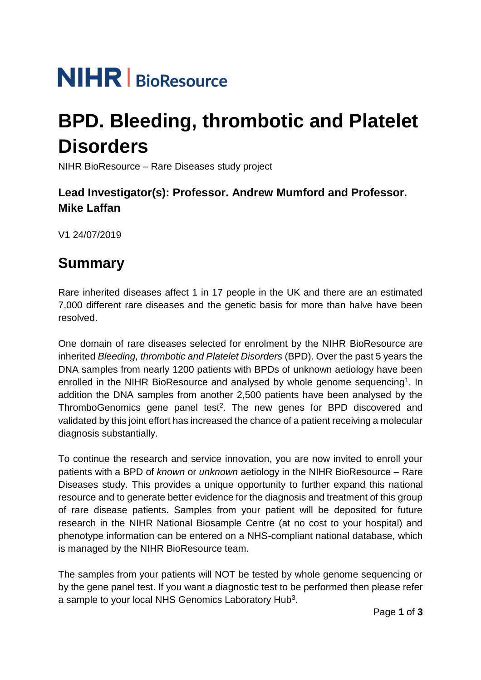# **NIHR** | BioResource

## **BPD. Bleeding, thrombotic and Platelet Disorders**

NIHR BioResource – Rare Diseases study project

#### **Lead Investigator(s): Professor. Andrew Mumford and Professor. Mike Laffan**

V1 24/07/2019

## **Summary**

Rare inherited diseases affect 1 in 17 people in the UK and there are an estimated 7,000 different rare diseases and the genetic basis for more than halve have been resolved.

One domain of rare diseases selected for enrolment by the NIHR BioResource are inherited *Bleeding, thrombotic and Platelet Disorders* (BPD). Over the past 5 years the DNA samples from nearly 1200 patients with BPDs of unknown aetiology have been enrolled in the NIHR BioResource and analysed by whole genome sequencing<sup>1</sup>. In addition the DNA samples from another 2,500 patients have been analysed by the ThromboGenomics gene panel test<sup>2</sup>. The new genes for BPD discovered and validated by this joint effort has increased the chance of a patient receiving a molecular diagnosis substantially.

To continue the research and service innovation, you are now invited to enroll your patients with a BPD of *known* or *unknown* aetiology in the NIHR BioResource – Rare Diseases study. This provides a unique opportunity to further expand this national resource and to generate better evidence for the diagnosis and treatment of this group of rare disease patients. Samples from your patient will be deposited for future research in the NIHR National Biosample Centre (at no cost to your hospital) and phenotype information can be entered on a NHS-compliant national database, which is managed by the NIHR BioResource team.

The samples from your patients will NOT be tested by whole genome sequencing or by the gene panel test. If you want a diagnostic test to be performed then please refer a sample to your local NHS Genomics Laboratory Hub<sup>3</sup>.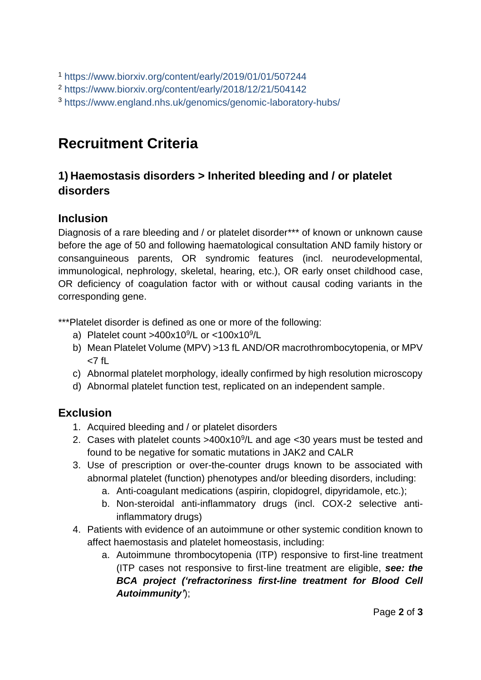<sup>1</sup> <https://www.biorxiv.org/content/early/2019/01/01/507244>

<sup>2</sup> <https://www.biorxiv.org/content/early/2018/12/21/504142>

<sup>3</sup> <https://www.england.nhs.uk/genomics/genomic-laboratory-hubs/>

## **Recruitment Criteria**

#### **1) Haemostasis disorders > Inherited bleeding and / or platelet disorders**

#### **Inclusion**

Diagnosis of a rare bleeding and / or platelet disorder\*\*\* of known or unknown cause before the age of 50 and following haematological consultation AND family history or consanguineous parents, OR syndromic features (incl. neurodevelopmental, immunological, nephrology, skeletal, hearing, etc.), OR early onset childhood case, OR deficiency of coagulation factor with or without causal coding variants in the corresponding gene.

\*\*\*Platelet disorder is defined as one or more of the following:

- a) Platelet count >400x10<sup>9</sup>/L or <100x10<sup>9</sup>/L
- b) Mean Platelet Volume (MPV) >13 fL AND/OR macrothrombocytopenia, or MPV  $< 7$  fl
- c) Abnormal platelet morphology, ideally confirmed by high resolution microscopy
- d) Abnormal platelet function test, replicated on an independent sample.

#### **Exclusion**

- 1. Acquired bleeding and / or platelet disorders
- 2. Cases with platelet counts  $>400x10<sup>9</sup>/L$  and age < 30 years must be tested and found to be negative for somatic mutations in JAK2 and CALR
- 3. Use of prescription or over-the-counter drugs known to be associated with abnormal platelet (function) phenotypes and/or bleeding disorders, including:
	- a. Anti-coagulant medications (aspirin, clopidogrel, dipyridamole, etc.);
	- b. Non-steroidal anti-inflammatory drugs (incl. COX-2 selective antiinflammatory drugs)
- 4. Patients with evidence of an autoimmune or other systemic condition known to affect haemostasis and platelet homeostasis, including:
	- a. Autoimmune thrombocytopenia (ITP) responsive to first-line treatment (ITP cases not responsive to first-line treatment are eligible, *see: the BCA project ('refractoriness first-line treatment for Blood Cell Autoimmunity'*);